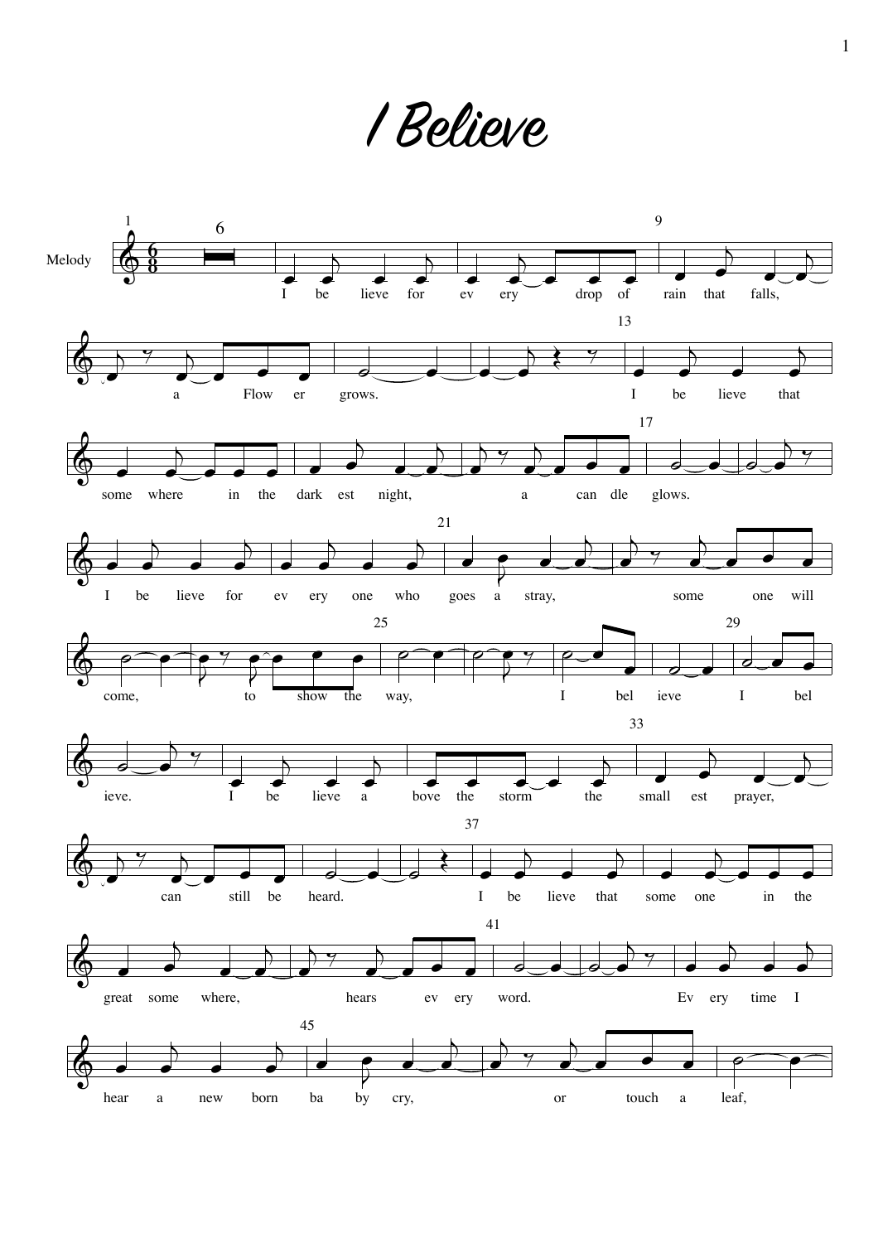1 Believe